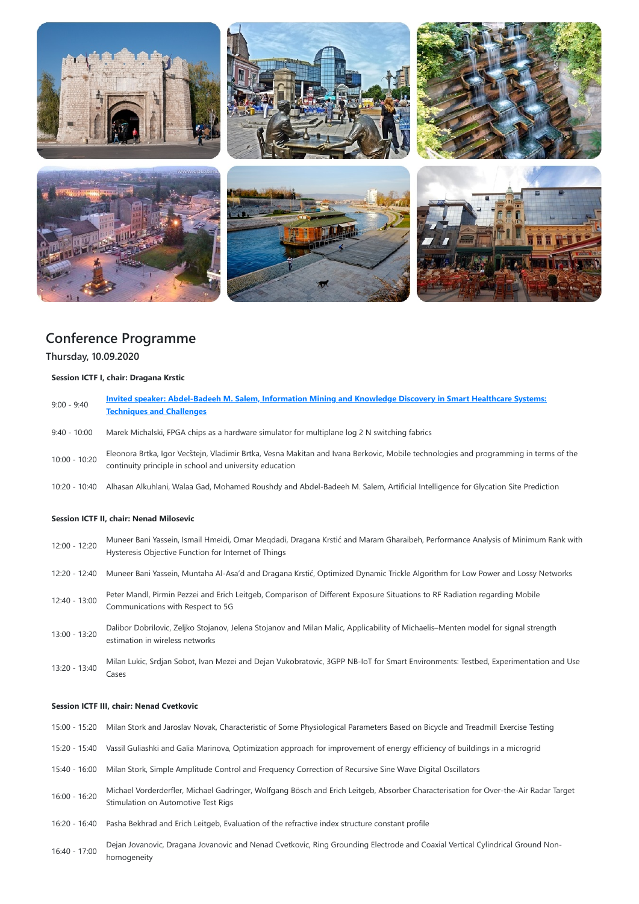

# **Conference Programme**

**Thursday, 10.09.2020**

## **Session ICTF I, chair: Dragana Krstic**

| $9:00 - 9:40$                                  | <b>Invited speaker: Abdel-Badeeh M. Salem, Information Mining and Knowledge Discovery in Smart Healthcare Systems:</b><br><b>Techniques and Challenges</b>                                      |
|------------------------------------------------|-------------------------------------------------------------------------------------------------------------------------------------------------------------------------------------------------|
| $9:40 - 10:00$                                 | Marek Michalski, FPGA chips as a hardware simulator for multiplane log 2 N switching fabrics                                                                                                    |
| $10:00 - 10:20$                                | Eleonora Brtka, Igor Vecštejn, Vladimir Brtka, Vesna Makitan and Ivana Berkovic, Mobile technologies and programming in terms of the<br>continuity principle in school and university education |
| 10:20 - 10:40                                  | Alhasan Alkuhlani, Walaa Gad, Mohamed Roushdy and Abdel-Badeeh M. Salem, Artificial Intelligence for Glycation Site Prediction                                                                  |
| <b>Session ICTF II, chair: Nenad Milosevic</b> |                                                                                                                                                                                                 |
| $12.00 \pm 2.20$                               | Muneer Bani Yassein, Ismail Hmeidi, Omar Megdadi, Dragana Krstić and Maram Gharaibeh, Performance Analysis of Minimum Rank with                                                                 |

| $12:00 - 12:20$                       | Triuncer Dam Tassem, Britain micrai, Omar McGaadi, Dragana Nisue and Maram Gharaben, i Criomiance Analysis Or Minimum Nam With<br>Hysteresis Objective Function for Internet of Things |
|---------------------------------------|----------------------------------------------------------------------------------------------------------------------------------------------------------------------------------------|
| 12:20 - 12:40                         | Muneer Bani Yassein, Muntaha Al-Asa'd and Dragana Krstić, Optimized Dynamic Trickle Algorithm for Low Power and Lossy Networks                                                         |
| 12:40 - 13:00                         | Peter Mandl, Pirmin Pezzei and Erich Leitgeb, Comparison of Different Exposure Situations to RF Radiation regarding Mobile<br>Communications with Respect to 5G                        |
| $13:00 - 13:20$                       | Dalibor Dobrilovic, Zeljko Stojanov, Jelena Stojanov and Milan Malic, Applicability of Michaelis–Menten model for signal strength<br>estimation in wireless networks                   |
| $\overline{10000}$ $\overline{10000}$ | Milan Lukic, Srdjan Sobot, Ivan Mezei and Dejan Vukobratovic, 3GPP NB-IoT for Smart Environments: Testbed, Experimentation and Use                                                     |

13:20 - 13:40 Cases

#### **Session ICTF III, chair: Nenad Cvetkovic**

15:00 - 15:20 Milan Stork and Jaroslav Novak, Characteristic of Some Physiological Parameters Based on Bicycle and Treadmill Exercise Testing

- 15:20 15:40 Vassil Guliashki and Galia Marinova, Optimization approach for improvement of energy efficiency of buildings in a microgrid
- 15:40 16:00 Milan Stork, Simple Amplitude Control and Frequency Correction of Recursive Sine Wave Digital Oscillators
- 16:00 16:20 Michael Vorderderfler, Michael Gadringer, Wolfgang Bösch and Erich Leitgeb, Absorber Characterisation for Over-the-Air Radar Target Stimulation on Automotive Test Rigs
- 16:20 16:40 Pasha Bekhrad and Erich Leitgeb, Evaluation of the refractive index structure constant profile
- 16:40 17:00 Dejan Jovanovic, Dragana Jovanovic and Nenad Cvetkovic, Ring Grounding Electrode and Coaxial Vertical Cylindrical Ground Nonhomogeneity